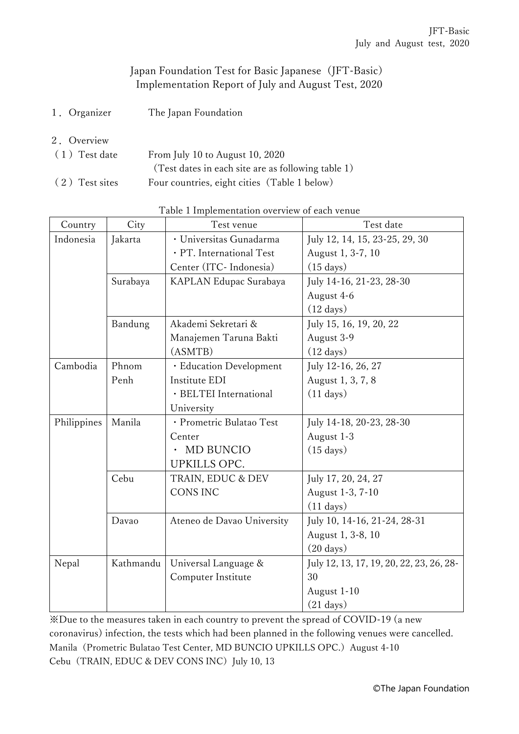## Japan Foundation Test for Basic Japanese (JFT-Basic) Implementation Report of July and August Test, 2020

- 1.Organizer The Japan Foundation
- 2.Overview
- (1)Test date From July 10 to August 10, 2020 (Test dates in each site are as following table 1) (2) Test sites Four countries, eight cities (Table 1 below)

| Country             | City      | Test venue                 | Test date                                |  |
|---------------------|-----------|----------------------------|------------------------------------------|--|
| Indonesia           | Jakarta   | · Universitas Gunadarma    | July 12, 14, 15, 23-25, 29, 30           |  |
|                     |           | · PT. International Test   | August 1, 3-7, 10                        |  |
| Surabaya<br>Bandung |           | Center (ITC-Indonesia)     | $(15 \text{ days})$                      |  |
|                     |           | KAPLAN Edupac Surabaya     | July 14-16, 21-23, 28-30                 |  |
|                     |           |                            | August 4-6                               |  |
|                     |           |                            | $(12 \text{ days})$                      |  |
|                     |           | Akademi Sekretari &        | July 15, 16, 19, 20, 22                  |  |
|                     |           | Manajemen Taruna Bakti     | August 3-9                               |  |
|                     |           | (ASMTB)                    | $(12 \text{ days})$                      |  |
| Cambodia            | Phnom     | · Education Development    | July 12-16, 26, 27                       |  |
|                     | Penh      | Institute EDI              | August 1, 3, 7, 8                        |  |
|                     |           | · BELTEI International     | $(11 \text{ days})$                      |  |
|                     |           | University                 |                                          |  |
| Philippines         | Manila    | · Prometric Bulatao Test   | July 14-18, 20-23, 28-30                 |  |
|                     |           | Center                     | August 1-3                               |  |
|                     |           | MD BUNCIO                  | $(15 \text{ days})$                      |  |
|                     |           | <b>UPKILLS OPC.</b>        |                                          |  |
|                     | Cebu      | TRAIN, EDUC & DEV          | July 17, 20, 24, 27                      |  |
|                     |           | <b>CONS INC</b>            | August 1-3, 7-10                         |  |
|                     |           |                            | $(11 \text{ days})$                      |  |
|                     | Davao     | Ateneo de Davao University | July 10, 14-16, 21-24, 28-31             |  |
|                     |           |                            | August 1, 3-8, 10                        |  |
|                     |           |                            | $(20 \text{ days})$                      |  |
| Nepal               | Kathmandu | Universal Language &       | July 12, 13, 17, 19, 20, 22, 23, 26, 28- |  |
|                     |           | Computer Institute         | 30                                       |  |
|                     |           |                            | August 1-10                              |  |
|                     |           |                            | $(21 \text{ days})$                      |  |

Table 1 Implementation overview of each venue

※Due to the measures taken in each country to prevent the spread of COVID-19 (a new coronavirus) infection, the tests which had been planned in the following venues were cancelled. Manila (Prometric Bulatao Test Center, MD BUNCIO UPKILLS OPC.) August 4-10 Cebu (TRAIN, EDUC & DEV CONS INC) July 10, 13